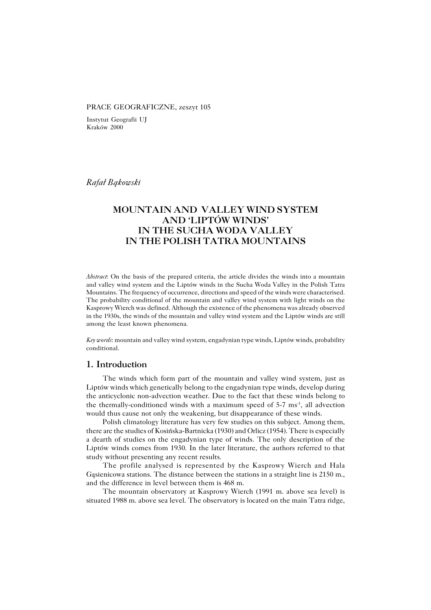#### PRACE GEOGRAFICZNE, zeszyt 105

Instytut Geografii UJ Kraków 2000

*Rafał Bąkowski*

# **MOUNTAIN AND VALLEY WIND SYSTEM AND 'LIPTÓW WINDS' IN THE SUCHA WODA VALLEY IN THE POLISH TATRA MOUNTAINS**

*Abstract*: On the basis of the prepared criteria, the article divides the winds into a mountain and valley wind system and the Liptów winds in the Sucha Woda Valley in the Polish Tatra Mountains. The frequency of occurrence, directions and speed of the winds were characterised. The probability conditional of the mountain and valley wind system with light winds on the Kasprowy Wierch was defined. Although the existence of the phenomena was already observed in the 1930s, the winds of the mountain and valley wind system and the Liptów winds are still among the least known phenomena.

*Key words*: mountain and valley wind system, engadynian type winds, Liptów winds, probability conditional.

#### **1. Introduction**

The winds which form part of the mountain and valley wind system, just as Liptów winds which genetically belong to the engadynian type winds, develop during the anticyclonic non−advection weather. Due to the fact that these winds belong to the thermally−conditioned winds with a maximum speed of 5−7 ms−1, all advection would thus cause not only the weakening, but disappearance of these winds.

Polish climatology literature has very few studies on this subject. Among them, there are the studies of Kosińska−Bartnicka (1930) and Orlicz (1954). There is especially a dearth of studies on the engadynian type of winds. The only description of the Liptów winds comes from 1930. In the later literature, the authors referred to that study without presenting any recent results.

The profile analysed is represented by the Kasprowy Wierch and Hala Gasienicowa stations. The distance between the stations in a straight line is 2150 m., and the difference in level between them is 468 m.

The mountain observatory at Kasprowy Wierch (1991 m. above sea level) is situated 1988 m. above sea level. The observatory is located on the main Tatra ridge,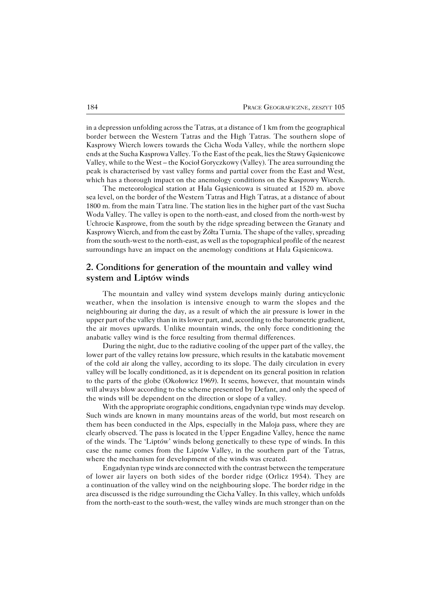in a depression unfolding across the Tatras, at a distance of 1 km from the geographical border between the Western Tatras and the High Tatras. The southern slope of Kasprowy Wierch lowers towards the Cicha Woda Valley, while the northern slope ends at the Sucha Kasprowa Valley. To the East of the peak, lies the Stawy Gąsienicowe Valley, while to the West – the Kocioł Goryczkowy (Valley). The area surrounding the peak is characterised by vast valley forms and partial cover from the East and West, which has athorough impact on the anemology conditions on the Kasprowy Wierch.

The meteorological station at Hala Gąsienicowa is situated at 1520 m. above sea level, on the border of the Western Tatras and High Tatras, at a distance of about 1800 m. from the main Tatra line. The station lies in the higher part of the vast Sucha Woda Valley. The valley is open to the north−east, and closed from the north−west by Uchrocie Kasprowe, from the south by the ridge spreading between the Granaty and Kasprowy Wierch, and from the east by Żółta Turnia. The shape of the valley, spreading from the south−west to the north−east, as well as the topographical profile of the nearest surroundings have an impact on the anemology conditions at Hala Gąsienicowa.

# **2. Conditions for generation of the mountain and valley wind system and Liptów winds**

The mountain and valley wind system develops mainly during anticyclonic weather, when the insolation is intensive enough to warm the slopes and the neighbouring air during the day, as a result of which the air pressure is lower in the upper part of the valley than in its lower part, and, according to the barometric gradient, the air moves upwards. Unlike mountain winds, the only force conditioning the anabatic valley wind is the force resulting from thermal differences.

During the night, due to the radiative cooling of the upper part of the valley, the lower part of the valley retains low pressure, which results in the katabatic movement of the cold air along the valley, according to its slope. The daily circulation in every valley will be locally conditioned, as it is dependent on its general position in relation to the parts of the globe (Okołowicz 1969). It seems, however, that mountain winds will always blow according to the scheme presented by Defant, and only the speed of the winds will be dependent on the direction or slope of a valley.

With the appropriate orographic conditions, engadynian type winds may develop. Such winds are known in many mountains areas of the world, but most research on them has been conducted in the Alps, especially in the Maloja pass, where they are clearly observed. The pass is located in the Upper Engadine Valley, hence the name of the winds. The 'Liptów' winds belong genetically to these type of winds. In this case the name comes from the Liptów Valley, in the southern part of the Tatras, where the mechanism for development of the winds was created.

Engadynian type winds are connected with the contrast between the temperature of lower air layers on both sides of the border ridge (Orlicz 1954). They are a continuation of the valley wind on the neighbouring slope. The border ridge in the area discussed is the ridge surrounding the Cicha Valley. In this valley, which unfolds from the north−east to the south−west, the valley winds are much stronger than on the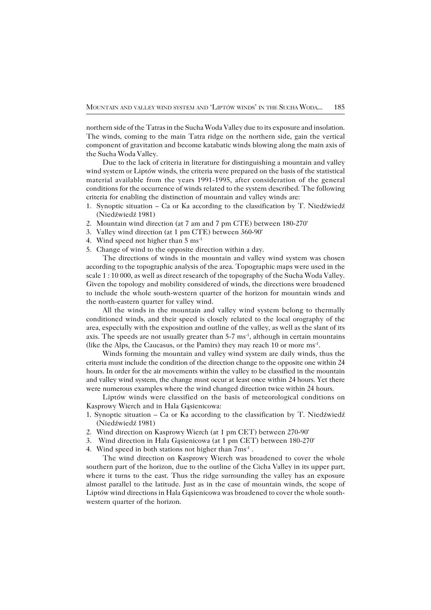northern side of the Tatras in the Sucha Woda Valley due to its exposure and insolation. The winds, coming to the main Tatra ridge on the northern side, gain the vertical component of gravitation and become katabatic winds blowing along the main axis of the Sucha Woda Valley.

Due to the lack of criteria in literature for distinguishing a mountain and valley wind system or Liptów winds, the criteria were prepared on the basis of the statistical material available from the years 1991−1995, after consideration of the general conditions for the occurrence of winds related to the system described. The following criteria for enabling the distinction of mountain and valley winds are:

- 1. Synoptic situation Ca or Ka according to the classification by T. Niedźwiedź (Niedźwiedź1981)
- 2. Mountain wind direction (at 7 am and 7 pm CTE) between 180−270°
- 3. Valley wind direction (at 1 pm CTE) between 360−90°
- 4. Wind speed not higher than 5 ms<sup>-1</sup>
- 5. Change of wind to the opposite direction within a day.

The directions of winds in the mountain and valley wind system was chosen according to the topographic analysis of the area. Topographic maps were used in the scale 1 : 10 000, as well as direct research of the topography of the Sucha Woda Valley. Given the topology and mobility considered of winds, the directions were broadened to include the whole south−western quarter of the horizon for mountain winds and the north−eastern quarter for valley wind.

All the winds in the mountain and valley wind system belong to thermally conditioned winds, and their speed is closely related to the local orography of the area, especially with the exposition and outline of the valley, as well as the slant of its axis. The speeds are not usually greater than 5-7 ms<sup>-1</sup>, although in certain mountains (like the Alps, the Caucasus, or the Pamirs) they may reach 10 or more ms−1 .

Winds forming the mountain and valley wind system are daily winds, thus the criteria must include the condition of the direction change to the opposite one within 24 hours. In order for the air movements within the valley to be classified in the mountain and valley wind system, the change must occur at least once within 24hours. Yet there were numerous examples where the wind changed direction twice within 24 hours.

Liptów winds were classified on the basis of meteorological conditions on Kasprowy Wierch and in Hala Gąsienicowa:

- 1. Synoptic situation Ca or Ka according to the classification by T. Niedźwiedź (Niedźwiedź1981)
- 2. Wind direction on Kasprowy Wierch (at 1 pm CET) between 270−90°
- 3. Wind direction in Hala Gąsienicowa (at 1 pm CET) between 180−270°
- 4. Wind speed in both stations not higher than 7ms<sup>-1</sup>.

The wind direction on Kasprowy Wierch was broadened to cover the whole southern part of the horizon, due to the outline of the Cicha Valley in its upper part, where it turns to the east. Thus the ridge surrounding the valley has an exposure almost parallel to the latitude. Just as in the case of mountain winds, the scope of Liptów wind directions in Hala Gąsienicowa was broadened to cover the whole south− western quarter of the horizon.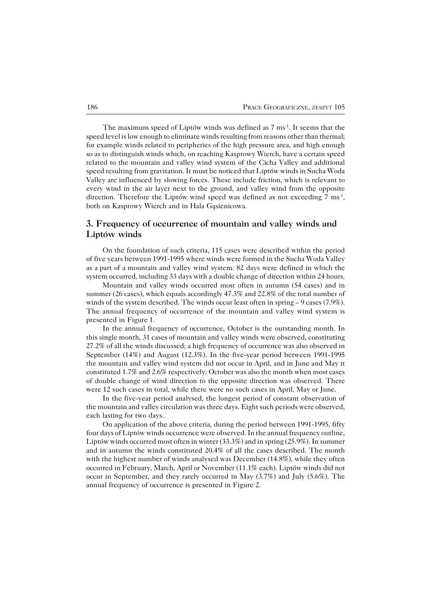The maximum speed of Liptów winds was defined as  $7 \text{ ms}^{-1}$ . It seems that the speed level is low enough to eliminate winds resulting from reasons other than thermal; for example winds related to peripheries of the high pressure area, and high enough so as to distinguish winds which, on reaching Kasprowy Wierch, have a certain speed related to the mountain and valley wind system of the Cicha Valley and additional speed resulting from gravitation. It must be noticed that Liptów winds in Sucha Woda Valley are influenced by slowing forces. These include friction, which is relevant to every wind in the air layer next to the ground, and valley wind from the opposite direction. Therefore the Liptów wind speed was defined as not exceeding  $7 \text{ ms}^1$ , both on Kasprowy Wierch and in Hala Gąsienicowa.

### **3. Frequency of occurrence of mountain and valley winds and Liptów winds**

On the foundation of such criteria, 115 cases were described within the period of five years between 1991−1995 where winds were formed in the Sucha Woda Valley as apart of amountain and valley wind system. 82 days were defined in which the system occurred, including 33 days with a double change of direction within 24 hours.

Mountain and valley winds occurred most often in autumn (54 cases) and in summer (26 cases), which equals accordingly 47.3% and 22.8% of the total number of winds of the system described. The winds occur least often in spring – 9 cases (7.9%). The annual frequency of occurrence of the mountain and valley wind system is presented in Figure 1.

In the annual frequency of occurrence, October is the outstanding month. In this single month, 31 cases of mountain and valley winds were observed, constituting 27.2% of all the winds discussed; a high frequency of occurrence was also observed in September (14%) and August (12.3%). In the five−year period between 1991−1995 the mountain and valley wind system did not occur in April, and in June and May it constituted 1.7% and 2.6% respectively. October was also the month when most cases of double change of wind direction to the opposite direction was observed. There were 12 such cases in total, while there were no such cases in April, May or June.

In the five−year period analysed, the longest period of constant observation of the mountain and valley circulation was three days. Eight such periods were observed, each lasting for two days.

On application of the above criteria, during the period between 1991−1995, fifty four days of Liptów winds occurrence were observed. In the annual frequency outline, Liptów winds occurred most often in winter (33.3%) and in spring (25.9%). In summer and in autumn the winds constituted 20.4% of all the cases described. The month with the highest number of winds analysed was December (14.8%), while they often occurred in February, March, April or November (11.1% each). Liptów winds did not occur in September, and they rarely occurred in May (3.7%) and July (5.6%). The annual frequency of occurrence is presented in Figure 2.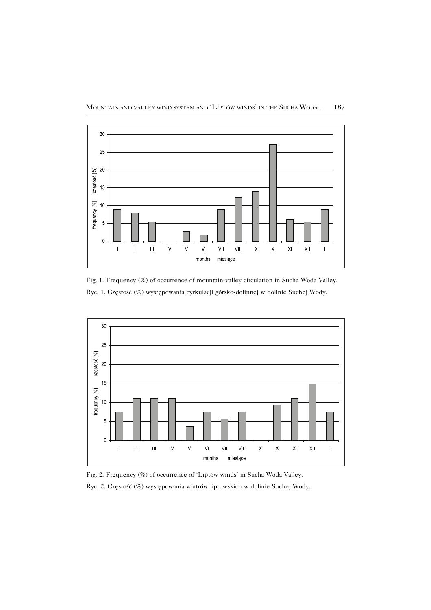

Fig. 1. Frequency (%) of occurrence of mountain−valley circulation in Sucha Woda Valley. Ryc. 1. Częstość (%) występowania cyrkulacji górsko−dolinnej w dolinie Suchej Wody.



Fig. 2. Frequency (%) of occurrence of 'Liptów winds' in Sucha Woda Valley.

Ryc. 2. Częstość (%) występowania wiatrów liptowskich w dolinie Suchej Wody.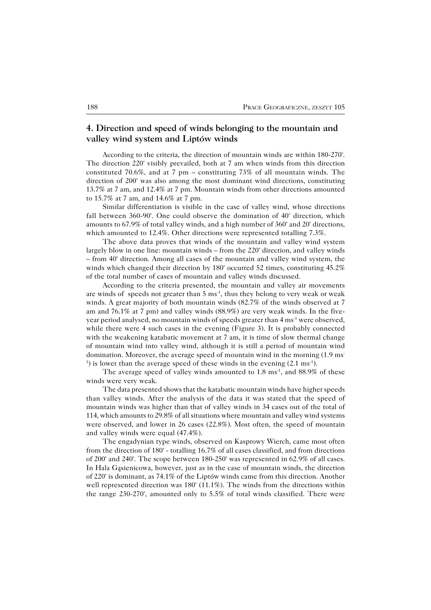#### **4. Direction and speed of winds belonging to the mountain and valley wind system and Liptów winds**

According to the criteria, the direction of mountain winds are within 180−270°. The direction 220° visibly prevailed, both at 7 am when winds from this direction constituted 70.6%, and at 7 pm – constituting 73% of all mountain winds. The direction of 200° was also among the most dominant wind directions, constituting 13.7% at 7am, and 12.4% at 7 pm. Mountain winds from other directions amounted to 15.7% at 7 am, and 14.6% at 7 pm.

Similar differentiation is visible in the case of valley wind, whose directions fall between 360−90°. One could observe the domination of 40° direction, which amounts to 67.9% of total valley winds, and a high number of 360° and 20° directions, which amounted to 12.4%. Other directions were represented totalling 7.3%.

The above data proves that winds of the mountain and valley wind system largely blow in one line: mountain winds – from the 220° direction, and valley winds – from 40° direction. Among all cases of the mountain and valley wind system, the winds which changed their direction by 180° occurred 52 times, constituting 45.2% of the total number of cases of mountain and valley winds discussed.

According to the criteria presented, the mountain and valley air movements are winds of speeds not greater than 5 ms−1, thus they belong to very weak or weak winds. A great majority of both mountain winds (82.7% of the winds observed at 7 am and 76.1% at 7 pm) and valley winds (88.9%) are very weak winds. In the five− year period analysed, no mountain winds of speeds greater than 4 ms<sup>-1</sup> were observed, while there were 4 such cases in the evening (Figure 3). It is probably connected with the weakening katabatic movement at 7 am, it is time of slow thermal change of mountain wind into valley wind, although it is still a period of mountain wind domination. Moreover, the average speed of mountain wind in the morning (1.9 ms<sup>−</sup> <sup>1</sup>) is lower than the average speed of these winds in the evening  $(2.1 \text{ ms}^{-1})$ .

The average speed of valley winds amounted to 1.8 ms<sup>-1</sup>, and 88.9% of these winds were very weak.

The data presented shows that the katabatic mountain winds have higher speeds than valley winds. After the analysis of the data it was stated that the speed of mountain winds was higher than that of valley winds in 34 cases out of the total of 114, which amounts to 29.8% of all situations where mountain and valley wind systems were observed, and lower in 26 cases (22.8%). Most often, the speed of mountain and valley winds were equal (47.4%).

The engadynian type winds, observed on Kasprowy Wierch, came most often from the direction of 180° − totalling 16.7% of all cases classified, and from directions of 200° and 240°. The scope between 180−250° was represented in 62.9% of all cases. In Hala Gąsienicowa, however, just as in the case of mountain winds, the direction of 220° is dominant, as 74.1% of the Liptów winds came from this direction. Another well represented direction was 180° (11.1%). The winds from the directions within the range 230−270°, amounted only to 5.5% of total winds classified. There were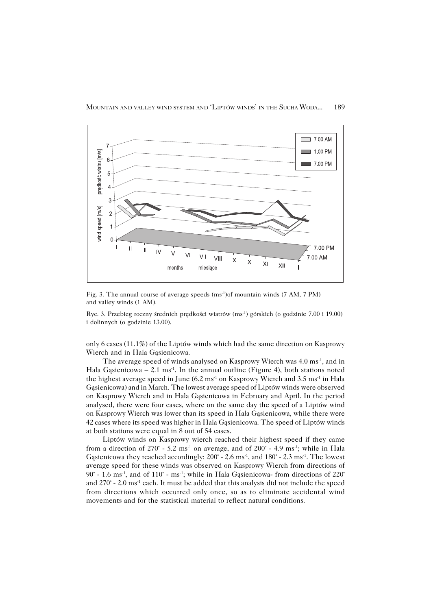

Fig. 3. The annual course of average speeds (ms−1)of mountain winds (7 AM, 7 PM) and valley winds (1 AM).

Ryc. 3. Przebieg roczny średnich prędkości wiatrów (ms−1) górskich (o godzinie 7.00 i 19.00) i dolinnych (o godzinie 13.00).

only 6 cases (11.1%) of the Liptów winds which had the same direction on Kasprowy Wierch and in Hala Gąsienicowa.

The average speed of winds analysed on Kasprowy Wierch was 4.0 ms<sup>-1</sup>, and in Hala Gasienicowa – 2.1 ms<sup>-1</sup>. In the annual outline (Figure 4), both stations noted the highest average speed in June (6.2 ms<sup>-1</sup> on Kasprowy Wierch and 3.5 ms<sup>-1</sup> in Hala Gąsienicowa) and in March. The lowest average speed of Liptów winds were observed on Kasprowy Wierch and in Hala Gąsienicowa in February and April. In the period analysed, there were four cases, where on the same day the speed of a Liptów wind on Kasprowy Wierch was lower than its speed in Hala Gąsienicowa, while there were 42 cases where its speed was higher in Hala Gąsienicowa. The speed of Liptów winds at both stations were equal in 8 out of 54 cases.

Liptów winds on Kasprowy wierch reached their highest speed if they came from a direction of  $270^{\circ}$  - 5.2 ms<sup>-1</sup> on average, and of  $200^{\circ}$  - 4.9 ms<sup>-1</sup>; while in Hala Gasienicowa they reached accordingly:  $200^\circ$  - 2.6 ms<sup>-1</sup>, and  $180^\circ$  - 2.3 ms<sup>-1</sup>. The lowest average speed for these winds was observed on Kasprowy Wierch from directions of 90° - 1.6 ms<sup>-1</sup>, and of 110° - ms<sup>-1</sup>; while in Hala Gasienicowa- from directions of 220° and 270° − 2.0 ms<sup>-1</sup> each. It must be added that this analysis did not include the speed from directions which occurred only once, so as to eliminate accidental wind movements and for the statistical material to reflect natural conditions.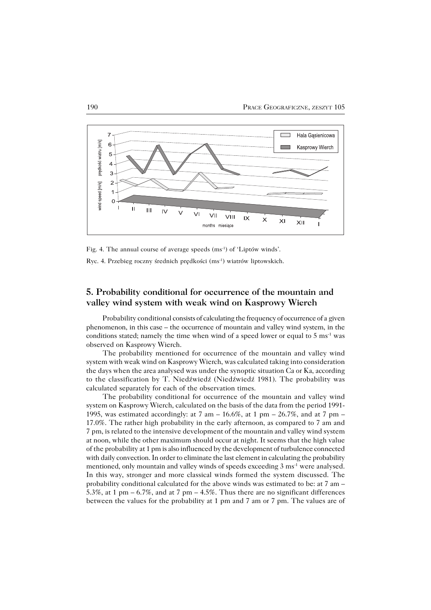

Fig. 4. The annual course of average speeds (ms−1) of 'Liptów winds'.

Ryc. 4. Przebieg roczny średnich prędkości (ms−1) wiatrów liptowskich.

# **5. Probability conditional for occurrence of the mountain and valley wind system with weak wind on Kasprowy Wierch**

Probability conditional consists of calculating the frequency of occurrence of a given phenomenon, in this case – the occurrence of mountain and valley wind system, in the conditions stated; namely the time when wind of a speed lower or equal to 5 ms<sup>-1</sup> was observed on Kasprowy Wierch.

The probability mentioned for occurrence of the mountain and valley wind system with weak wind on Kasprowy Wierch, was calculated taking into consideration the days when the area analysed was under the synoptic situation Ca or Ka, according to the classification by T. Niedźwiedź (Niedźwiedź 1981). The probability was calculated separately for each of the observation times.

The probability conditional for occurrence of the mountain and valley wind system on Kasprowy Wierch, calculated on the basis of the data from the period 1991− 1995, was estimated accordingly: at 7 am – 16.6%, at 1 pm – 26.7%, and at 7 pm – 17.0%. The rather high probability in the early afternoon, as compared to 7 am and 7pm, is related to the intensive development of the mountain and valley wind system at noon, while the other maximum should occur at night. It seems that the high value of the probability at 1 pm is also influenced by the development of turbulence connected with daily convection. In order to eliminate the last element in calculating the probability mentioned, only mountain and valley winds of speeds exceeding 3 ms<sup>-1</sup> were analysed. In this way, stronger and more classical winds formed the system discussed. The probability conditional calculated for the above winds was estimated to be: at 7 am – 5.3%, at 1 pm  $-6.7\%$ , and at 7 pm  $-4.5\%$ . Thus there are no significant differences between the values for the probability at 1 pm and 7 am or 7 pm. Thevalues are of